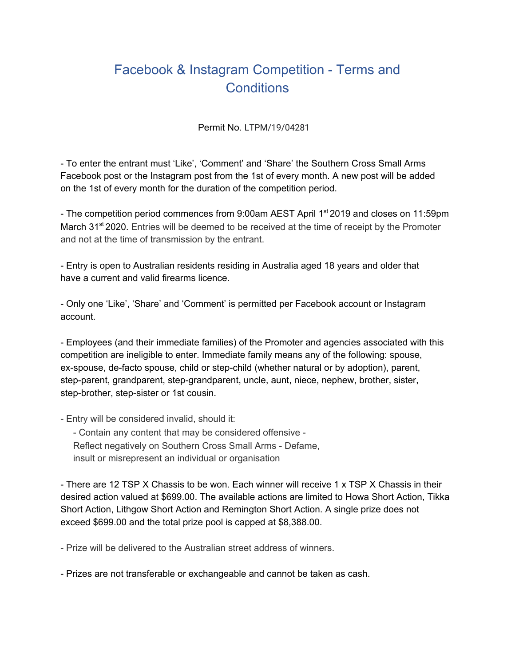## Facebook & Instagram Competition - Terms and **Conditions**

Permit No. LTPM/19/04281

- To enter the entrant must 'Like', 'Comment' and 'Share' the Southern Cross Small Arms Facebook post or the Instagram post from the 1st of every month. A new post will be added on the 1st of every month for the duration of the competition period.

- The competition period commences from 9:00am AEST April 1<sup>st</sup> 2019 and closes on 11:59pm March 31<sup>st</sup> 2020. Entries will be deemed to be received at the time of receipt by the Promoter and not at the time of transmission by the entrant.

- Entry is open to Australian residents residing in Australia aged 18 years and older that have a current and valid firearms licence.

- Only one 'Like', 'Share' and 'Comment' is permitted per Facebook account or Instagram account.

- Employees (and their immediate families) of the Promoter and agencies associated with this competition are ineligible to enter. Immediate family means any of the following: spouse, ex-spouse, de-facto spouse, child or step-child (whether natural or by adoption), parent, step-parent, grandparent, step-grandparent, uncle, aunt, niece, nephew, brother, sister, step-brother, step-sister or 1st cousin.

- Entry will be considered invalid, should it:

- Contain any content that may be considered offensive - Reflect negatively on Southern Cross Small Arms - Defame, insult or misrepresent an individual or organisation

- There are 12 TSP X Chassis to be won. Each winner will receive 1 x TSP X Chassis in their desired action valued at \$699.00. The available actions are limited to Howa Short Action, Tikka Short Action, Lithgow Short Action and Remington Short Action. A single prize does not exceed \$699.00 and the total prize pool is capped at \$8,388.00.

- Prize will be delivered to the Australian street address of winners.

- Prizes are not transferable or exchangeable and cannot be taken as cash.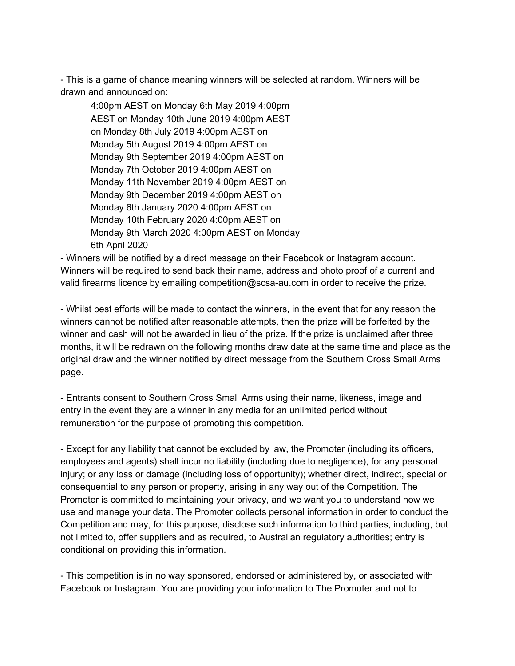- This is a game of chance meaning winners will be selected at random. Winners will be drawn and announced on:

4:00pm AEST on Monday 6th May 2019 4:00pm AEST on Monday 10th June 2019 4:00pm AEST on Monday 8th July 2019 4:00pm AEST on Monday 5th August 2019 4:00pm AEST on Monday 9th September 2019 4:00pm AEST on Monday 7th October 2019 4:00pm AEST on Monday 11th November 2019 4:00pm AEST on Monday 9th December 2019 4:00pm AEST on Monday 6th January 2020 4:00pm AEST on Monday 10th February 2020 4:00pm AEST on Monday 9th March 2020 4:00pm AEST on Monday 6th April 2020

- Winners will be notified by a direct message on their Facebook or Instagram account. Winners will be required to send back their name, address and photo proof of a current and valid firearms licence by emailing competition@scsa-au.com in order to receive the prize.

- Whilst best efforts will be made to contact the winners, in the event that for any reason the winners cannot be notified after reasonable attempts, then the prize will be forfeited by the winner and cash will not be awarded in lieu of the prize. If the prize is unclaimed after three months, it will be redrawn on the following months draw date at the same time and place as the original draw and the winner notified by direct message from the Southern Cross Small Arms page.

- Entrants consent to Southern Cross Small Arms using their name, likeness, image and entry in the event they are a winner in any media for an unlimited period without remuneration for the purpose of promoting this competition.

- Except for any liability that cannot be excluded by law, the Promoter (including its officers, employees and agents) shall incur no liability (including due to negligence), for any personal injury; or any loss or damage (including loss of opportunity); whether direct, indirect, special or consequential to any person or property, arising in any way out of the Competition. The Promoter is committed to maintaining your privacy, and we want you to understand how we use and manage your data. The Promoter collects personal information in order to conduct the Competition and may, for this purpose, disclose such information to third parties, including, but not limited to, offer suppliers and as required, to Australian regulatory authorities; entry is conditional on providing this information.

- This competition is in no way sponsored, endorsed or administered by, or associated with Facebook or Instagram. You are providing your information to The Promoter and not to